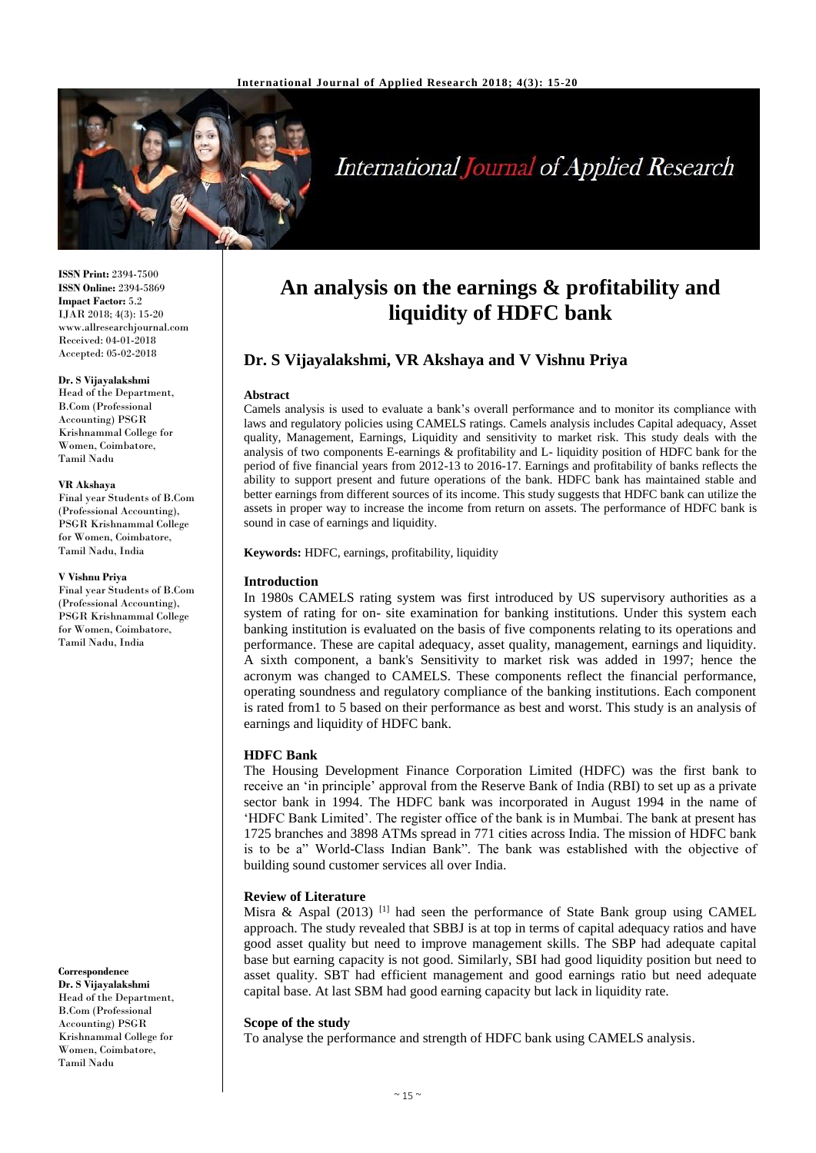

# **International Journal of Applied Research**

**ISSN Print:** 2394-7500 **ISSN Online:** 2394-5869 **Impact Factor:** 5.2 IJAR 2018; 4(3): 15-20 www.allresearchjournal.com Received: 04-01-2018 Accepted: 05-02-2018

#### **Dr. S Vijayalakshmi**

Head of the Department, B.Com (Professional Accounting) PSGR Krishnammal College for Women, Coimbatore, Tamil Nadu

#### **VR Akshaya**

Final year Students of B.Com (Professional Accounting), PSGR Krishnammal College for Women, Coimbatore, Tamil Nadu, India

#### **V Vishnu Priya**

Final year Students of B.Com (Professional Accounting), PSGR Krishnammal College for Women, Coimbatore, Tamil Nadu, India

**Correspondence Dr. S Vijayalakshmi** Head of the Department, B.Com (Professional Accounting) PSGR Krishnammal College for Women, Coimbatore, Tamil Nadu

## **An analysis on the earnings & profitability and liquidity of HDFC bank**

## **Dr. S Vijayalakshmi, VR Akshaya and V Vishnu Priya**

#### **Abstract**

Camels analysis is used to evaluate a bank's overall performance and to monitor its compliance with laws and regulatory policies using CAMELS ratings. Camels analysis includes Capital adequacy, Asset quality, Management, Earnings, Liquidity and sensitivity to market risk. This study deals with the analysis of two components E-earnings & profitability and L- liquidity position of HDFC bank for the period of five financial years from 2012-13 to 2016-17. Earnings and profitability of banks reflects the ability to support present and future operations of the bank. HDFC bank has maintained stable and better earnings from different sources of its income. This study suggests that HDFC bank can utilize the assets in proper way to increase the income from return on assets. The performance of HDFC bank is sound in case of earnings and liquidity.

**Keywords:** HDFC, earnings, profitability, liquidity

## **Introduction**

In 1980s CAMELS rating system was first introduced by US supervisory authorities as a system of rating for on- site examination for banking institutions. Under this system each banking institution is evaluated on the basis of five components relating to its operations and performance. These are capital adequacy, asset quality, management, earnings and liquidity. A sixth component, a bank's Sensitivity to market risk was added in 1997; hence the acronym was changed to CAMELS. These components reflect the financial performance, operating soundness and regulatory compliance of the banking institutions. Each component is rated from1 to 5 based on their performance as best and worst. This study is an analysis of earnings and liquidity of HDFC bank.

## **HDFC Bank**

The Housing Development Finance Corporation Limited (HDFC) was the first bank to receive an 'in principle' approval from the Reserve Bank of India (RBI) to set up as a private sector bank in 1994. The HDFC bank was incorporated in August 1994 in the name of 'HDFC Bank Limited'. The register office of the bank is in Mumbai. The bank at present has 1725 branches and 3898 ATMs spread in 771 cities across India. The mission of HDFC bank is to be a" World-Class Indian Bank". The bank was established with the objective of building sound customer services all over India.

## **Review of Literature**

Misra & Aspal (2013) <sup>[1]</sup> had seen the performance of State Bank group using CAMEL approach. The study revealed that SBBJ is at top in terms of capital adequacy ratios and have good asset quality but need to improve management skills. The SBP had adequate capital base but earning capacity is not good. Similarly, SBI had good liquidity position but need to asset quality. SBT had efficient management and good earnings ratio but need adequate capital base. At last SBM had good earning capacity but lack in liquidity rate.

#### **Scope of the study**

To analyse the performance and strength of HDFC bank using CAMELS analysis.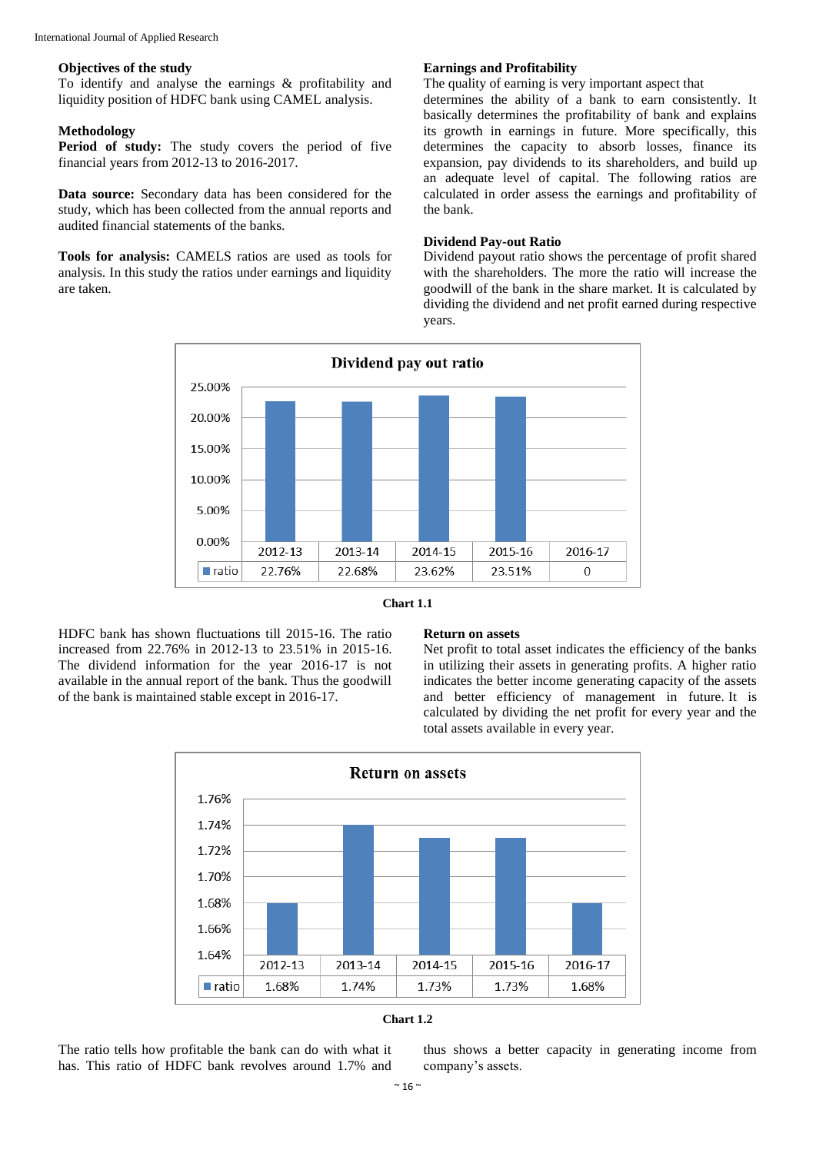#### **Objectives of the study**

To identify and analyse the earnings & profitability and liquidity position of HDFC bank using CAMEL analysis.

## **Methodology**

**Period of study:** The study covers the period of five financial years from 2012-13 to 2016-2017.

**Data source:** Secondary data has been considered for the study, which has been collected from the annual reports and audited financial statements of the banks.

**Tools for analysis:** CAMELS ratios are used as tools for analysis. In this study the ratios under earnings and liquidity are taken.

## **Earnings and Profitability**

The quality of earning is very important aspect that determines the ability of a bank to earn consistently. It basically determines the profitability of bank and explains its growth in earnings in future. More specifically, this determines the capacity to absorb losses, finance its expansion, pay dividends to its shareholders, and build up an adequate level of capital. The following ratios are calculated in order assess the earnings and profitability of the bank.

#### **Dividend Pay-out Ratio**

Dividend payout ratio shows the percentage of profit shared with the shareholders. The more the ratio will increase the goodwill of the bank in the share market. It is calculated by dividing the dividend and net profit earned during respective years.





HDFC bank has shown fluctuations till 2015-16. The ratio increased from 22.76% in 2012-13 to 23.51% in 2015-16. The dividend information for the year 2016-17 is not available in the annual report of the bank. Thus the goodwill of the bank is maintained stable except in 2016-17.

#### **Return on assets**

Net profit to total asset indicates the efficiency of the banks in utilizing their assets in generating profits. A higher ratio indicates the better income generating capacity of the assets and better efficiency of management in future. It is calculated by dividing the net profit for every year and the total assets available in every year.





The ratio tells how profitable the bank can do with what it has. This ratio of HDFC bank revolves around 1.7% and thus shows a better capacity in generating income from company's assets.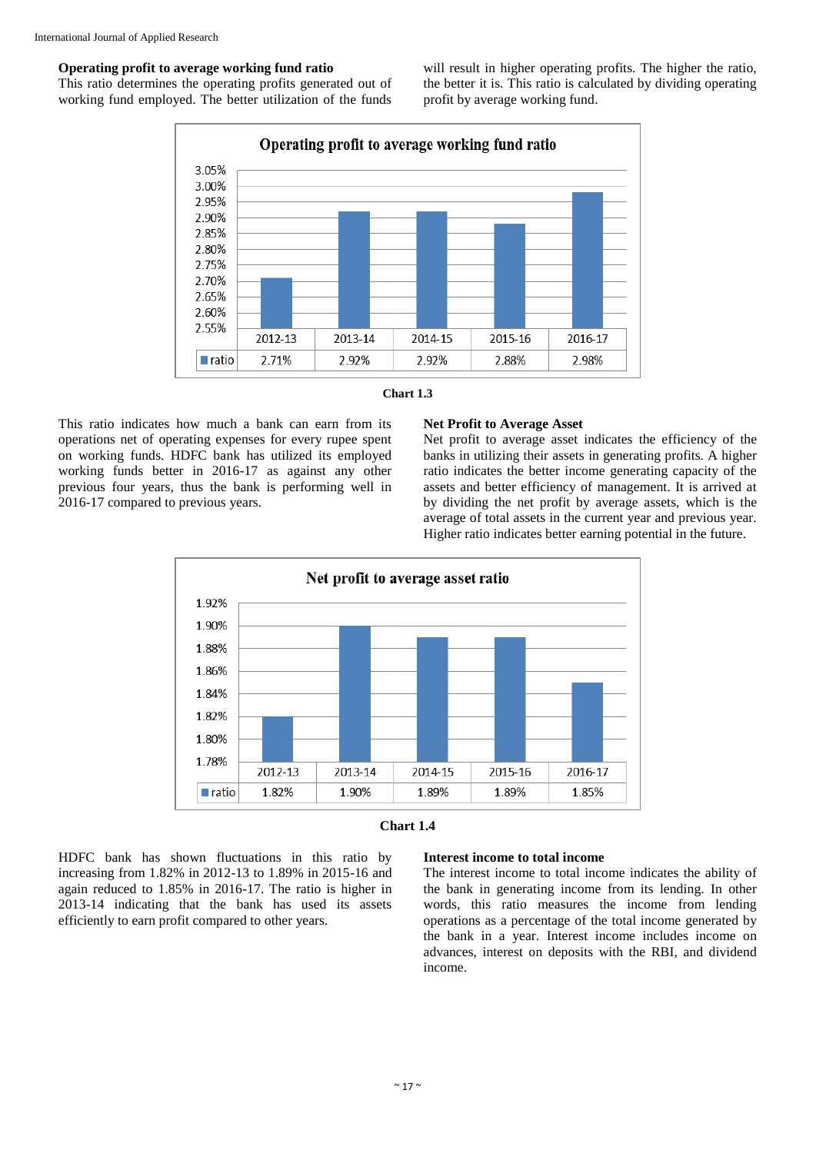#### **Operating profit to average working fund ratio**

This ratio determines the operating profits generated out of working fund employed. The better utilization of the funds

will result in higher operating profits. The higher the ratio, the better it is. This ratio is calculated by dividing operating profit by average working fund.





This ratio indicates how much a bank can earn from its operations net of operating expenses for every rupee spent on working funds. HDFC bank has utilized its employed working funds better in 2016-17 as against any other previous four years, thus the bank is performing well in 2016-17 compared to previous years.

#### **Net Profit to Average Asset**

Net profit to average asset indicates the efficiency of the banks in utilizing their assets in generating profits. A higher ratio indicates the better income generating capacity of the assets and better efficiency of management. It is arrived at by dividing the net profit by average assets, which is the average of total assets in the current year and previous year. Higher ratio indicates better earning potential in the future.





HDFC bank has shown fluctuations in this ratio by increasing from 1.82% in 2012-13 to 1.89% in 2015-16 and again reduced to 1.85% in 2016-17. The ratio is higher in 2013-14 indicating that the bank has used its assets efficiently to earn profit compared to other years.

#### **Interest income to total income**

The interest income to total income indicates the ability of the bank in generating income from its lending. In other words, this ratio measures the income from lending operations as a percentage of the total income generated by the bank in a year. Interest income includes income on advances, interest on deposits with the RBI, and dividend income.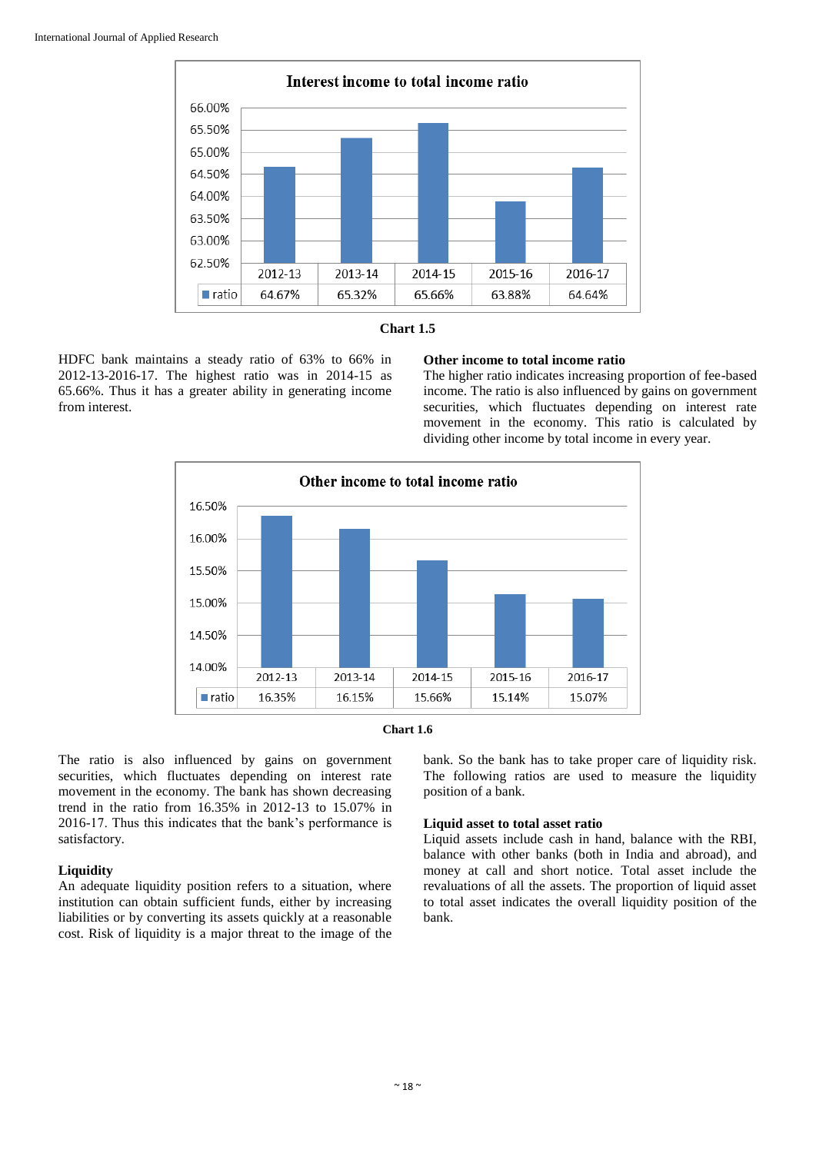

![](_page_3_Figure_2.jpeg)

HDFC bank maintains a steady ratio of 63% to 66% in 2012-13-2016-17. The highest ratio was in 2014-15 as 65.66%. Thus it has a greater ability in generating income from interest.

## **Other income to total income ratio**

The higher ratio indicates increasing proportion of fee-based income. The ratio is also influenced by gains on government securities, which fluctuates depending on interest rate movement in the economy. This ratio is calculated by dividing other income by total income in every year.

![](_page_3_Figure_6.jpeg)

![](_page_3_Figure_7.jpeg)

The ratio is also influenced by gains on government securities, which fluctuates depending on interest rate movement in the economy. The bank has shown decreasing trend in the ratio from 16.35% in 2012-13 to 15.07% in 2016-17. Thus this indicates that the bank's performance is satisfactory.

## **Liquidity**

An adequate liquidity position refers to a situation, where institution can obtain sufficient funds, either by increasing liabilities or by converting its assets quickly at a reasonable cost. Risk of liquidity is a major threat to the image of the bank. So the bank has to take proper care of liquidity risk. The following ratios are used to measure the liquidity position of a bank.

## **Liquid asset to total asset ratio**

Liquid assets include cash in hand, balance with the RBI, balance with other banks (both in India and abroad), and money at call and short notice. Total asset include the revaluations of all the assets. The proportion of liquid asset to total asset indicates the overall liquidity position of the bank.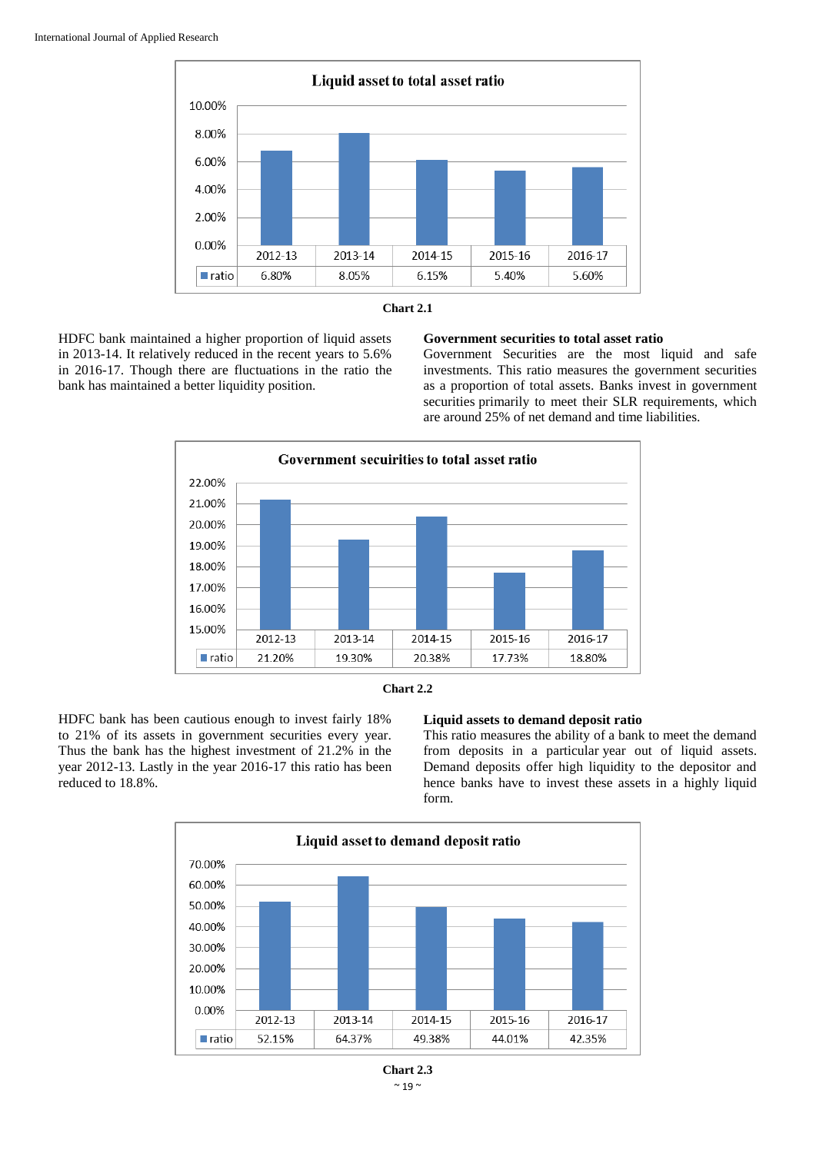![](_page_4_Figure_1.jpeg)

![](_page_4_Figure_2.jpeg)

HDFC bank maintained a higher proportion of liquid assets in 2013-14. It relatively reduced in the recent years to 5.6% in 2016-17. Though there are fluctuations in the ratio the bank has maintained a better liquidity position.

## **Government securities to total asset ratio**

Government Securities are the most liquid and safe investments. This ratio measures the government securities as a proportion of total assets. Banks invest in government securities primarily to meet their SLR requirements, which are around 25% of net demand and time liabilities.

![](_page_4_Figure_6.jpeg)

![](_page_4_Figure_7.jpeg)

HDFC bank has been cautious enough to invest fairly 18% to 21% of its assets in government securities every year. Thus the bank has the highest investment of 21.2% in the year 2012-13. Lastly in the year 2016-17 this ratio has been reduced to 18.8%.

#### **Liquid assets to demand deposit ratio**

This ratio measures the ability of a bank to meet the demand from deposits in a particular year out of liquid assets. Demand deposits offer high liquidity to the depositor and hence banks have to invest these assets in a highly liquid form.

![](_page_4_Figure_11.jpeg)

 $\sim$  19  $\sim$ **Chart 2.3**